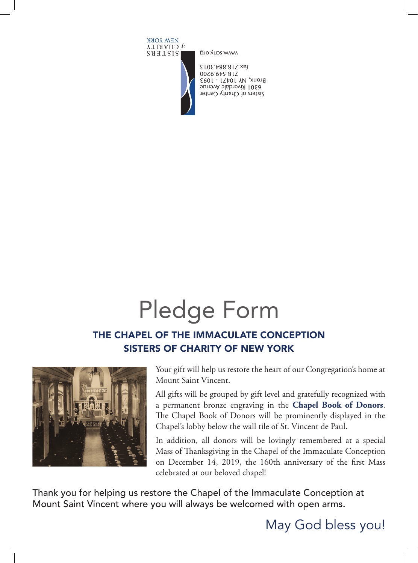## Pledge Form

## THE CHAPEL OF THE IMMACULATE CONCEPTION SISTERS OF CHARITY OF NEW YORK



Your gift will help us restore the heart of our Congregation's home at Mount Saint Vincent.

All gifts will be grouped by gift level and gratefully recognized with a permanent bronze engraving in the **Chapel Book of Donors**. The Chapel Book of Donors will be prominently displayed in the Chapel's lobby below the wall tile of St. Vincent de Paul.

In addition, all donors will be lovingly remembered at a special Mass of Thanksgiving in the Chapel of the Immaculate Conception on December 14, 2019, the 160th anniversary of the first Mass celebrated at our beloved chapel!

Thank you for helping us restore the Chapel of the Immaculate Conception at Mount Saint Vincent where you will always be welcomed with open arms.

## May God bless you!